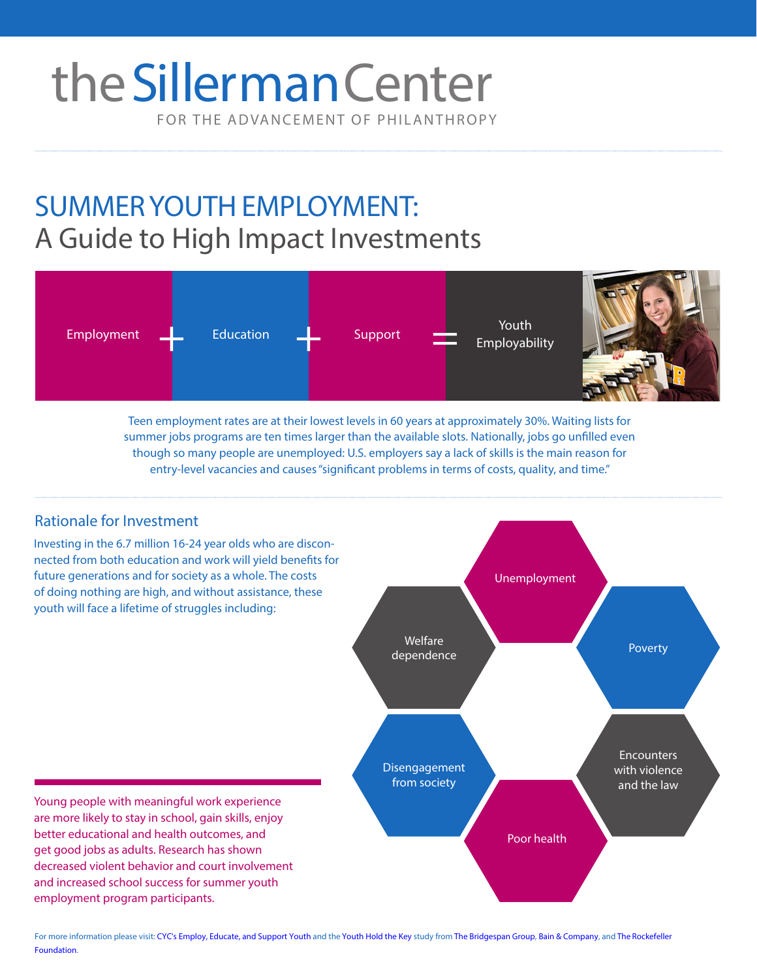# FOR THE ADVANCEMENT OF PHILANTHROPY the Sillerman Center

# SUMMER YOUTH EMPLOYMENT: A Guide to High Impact Investments



Teen employment rates are at their lowest levels in 60 years at approximately 30%. Waiting lists for summer jobs programs are ten times larger than the available slots. Nationally, jobs go unfilled even though so many people are unemployed: U.S. employers say a lack of skills is the main reason for entry-level vacancies and causes "significant problems in terms of costs, quality, and time."

# Rationale for Investment

Investing in the 6.7 million 16-24 year olds who are disconnected from both education and work will yield benefits for future generations and for society as a whole. The costs of doing nothing are high, and without assistance, these youth will face a lifetime of struggles including:



Young people with meaningful work experience are more likely to stay in school, gain skills, enjoy better educational and health outcomes, and get good jobs as adults. Research has shown decreased violent behavior and court involvement and increased school success for summer youth employment program participants.

For more information please visit: CYC's [Employ, Educate, and Support Youth](http://cyc.brandeis.edu/work/EmployEducateSupportYouth.html) and the [Youth Hold the Key study](http://www.bridgespan.org/getmedia/f759025f-729f-4c3e-9652-834bcbebdfe0/Youth-Hold-the-Key-Building-Your-Workforce.aspx) from [The Bridgespan Group,](http://www.bridgespan.org/Home.aspx) [Bain & Company](http://www.bain.com/), and The Rockefeller Foundation.